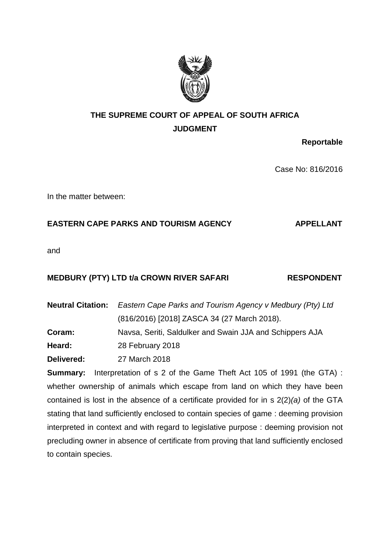

# **THE SUPREME COURT OF APPEAL OF SOUTH AFRICA JUDGMENT**

**Reportable**

Case No: 816/2016

In the matter between:

## EASTERN CAPE PARKS AND TOURISM AGENCY **APPELLANT**

and

### **MEDBURY (PTY) LTD t/a CROWN RIVER SAFARI RESPONDENT**

**Neutral Citation:** *Eastern Cape Parks and Tourism Agency v Medbury (Pty) Ltd* (816/2016) [2018] ZASCA 34 (27 March 2018). **Coram:** Navsa, Seriti, Saldulker and Swain JJA and Schippers AJA

**Heard:** 28 February 2018

**Delivered:** 27 March 2018

**Summary:** Interpretation of s 2 of the Game Theft Act 105 of 1991 (the GTA) : whether ownership of animals which escape from land on which they have been contained is lost in the absence of a certificate provided for in s 2(2)*(a)* of the GTA stating that land sufficiently enclosed to contain species of game : deeming provision interpreted in context and with regard to legislative purpose : deeming provision not precluding owner in absence of certificate from proving that land sufficiently enclosed to contain species.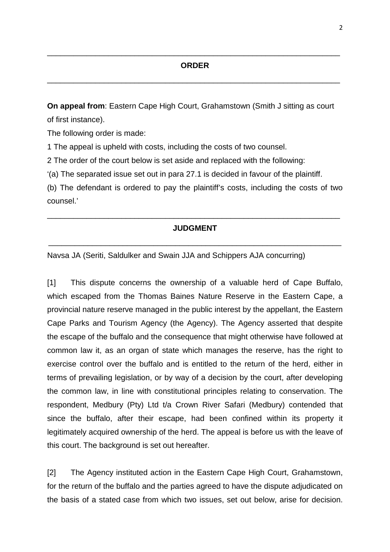#### **ORDER**

\_\_\_\_\_\_\_\_\_\_\_\_\_\_\_\_\_\_\_\_\_\_\_\_\_\_\_\_\_\_\_\_\_\_\_\_\_\_\_\_\_\_\_\_\_\_\_\_\_\_\_\_\_\_\_\_\_\_\_\_\_\_\_\_\_\_\_

\_\_\_\_\_\_\_\_\_\_\_\_\_\_\_\_\_\_\_\_\_\_\_\_\_\_\_\_\_\_\_\_\_\_\_\_\_\_\_\_\_\_\_\_\_\_\_\_\_\_\_\_\_\_\_\_\_\_\_\_\_\_\_\_\_\_\_

**On appeal from**: Eastern Cape High Court, Grahamstown (Smith J sitting as court of first instance).

The following order is made:

1 The appeal is upheld with costs, including the costs of two counsel.

2 The order of the court below is set aside and replaced with the following:

'(a) The separated issue set out in para 27.1 is decided in favour of the plaintiff.

(b) The defendant is ordered to pay the plaintiff's costs, including the costs of two counsel.'

### **JUDGMENT**

\_\_\_\_\_\_\_\_\_\_\_\_\_\_\_\_\_\_\_\_\_\_\_\_\_\_\_\_\_\_\_\_\_\_\_\_\_\_\_\_\_\_\_\_\_\_\_\_\_\_\_\_\_\_\_\_\_\_\_\_\_\_\_\_\_\_\_

\_\_\_\_\_\_\_\_\_\_\_\_\_\_\_\_\_\_\_\_\_\_\_\_\_\_\_\_\_\_\_\_\_\_\_\_\_\_\_\_\_\_\_\_\_\_\_\_\_\_\_\_\_\_\_\_\_\_\_\_\_\_\_\_\_\_\_

Navsa JA (Seriti, Saldulker and Swain JJA and Schippers AJA concurring)

[1] This dispute concerns the ownership of a valuable herd of Cape Buffalo, which escaped from the Thomas Baines Nature Reserve in the Eastern Cape, a provincial nature reserve managed in the public interest by the appellant, the Eastern Cape Parks and Tourism Agency (the Agency). The Agency asserted that despite the escape of the buffalo and the consequence that might otherwise have followed at common law it, as an organ of state which manages the reserve, has the right to exercise control over the buffalo and is entitled to the return of the herd, either in terms of prevailing legislation, or by way of a decision by the court, after developing the common law, in line with constitutional principles relating to conservation. The respondent, Medbury (Pty) Ltd t/a Crown River Safari (Medbury) contended that since the buffalo, after their escape, had been confined within its property it legitimately acquired ownership of the herd. The appeal is before us with the leave of this court. The background is set out hereafter.

[2] The Agency instituted action in the Eastern Cape High Court, Grahamstown, for the return of the buffalo and the parties agreed to have the dispute adjudicated on the basis of a stated case from which two issues, set out below, arise for decision.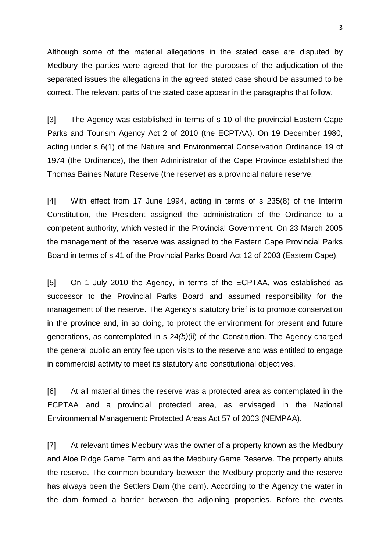Although some of the material allegations in the stated case are disputed by Medbury the parties were agreed that for the purposes of the adjudication of the separated issues the allegations in the agreed stated case should be assumed to be correct. The relevant parts of the stated case appear in the paragraphs that follow.

[3] The Agency was established in terms of s 10 of the provincial Eastern Cape Parks and Tourism Agency Act 2 of 2010 (the ECPTAA). On 19 December 1980, acting under s 6(1) of the Nature and Environmental Conservation Ordinance 19 of 1974 (the Ordinance), the then Administrator of the Cape Province established the Thomas Baines Nature Reserve (the reserve) as a provincial nature reserve.

[4] With effect from 17 June 1994, acting in terms of s 235(8) of the Interim Constitution, the President assigned the administration of the Ordinance to a competent authority, which vested in the Provincial Government. On 23 March 2005 the management of the reserve was assigned to the Eastern Cape Provincial Parks Board in terms of s 41 of the Provincial Parks Board Act 12 of 2003 (Eastern Cape).

[5] On 1 July 2010 the Agency, in terms of the ECPTAA, was established as successor to the Provincial Parks Board and assumed responsibility for the management of the reserve. The Agency's statutory brief is to promote conservation in the province and, in so doing, to protect the environment for present and future generations, as contemplated in s 24*(b)*(ii) of the Constitution. The Agency charged the general public an entry fee upon visits to the reserve and was entitled to engage in commercial activity to meet its statutory and constitutional objectives.

[6] At all material times the reserve was a protected area as contemplated in the ECPTAA and a provincial protected area, as envisaged in the National Environmental Management: Protected Areas Act 57 of 2003 (NEMPAA).

[7] At relevant times Medbury was the owner of a property known as the Medbury and Aloe Ridge Game Farm and as the Medbury Game Reserve. The property abuts the reserve. The common boundary between the Medbury property and the reserve has always been the Settlers Dam (the dam). According to the Agency the water in the dam formed a barrier between the adjoining properties. Before the events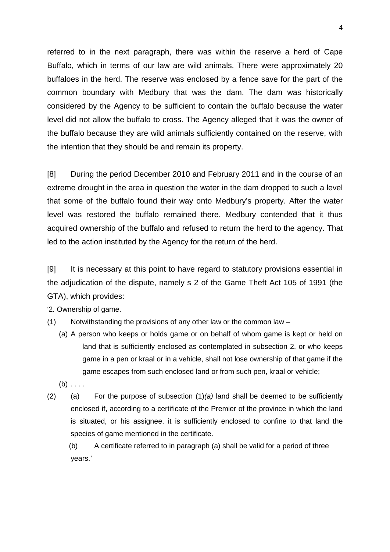referred to in the next paragraph, there was within the reserve a herd of Cape Buffalo, which in terms of our law are wild animals. There were approximately 20 buffaloes in the herd. The reserve was enclosed by a fence save for the part of the common boundary with Medbury that was the dam. The dam was historically considered by the Agency to be sufficient to contain the buffalo because the water level did not allow the buffalo to cross. The Agency alleged that it was the owner of the buffalo because they are wild animals sufficiently contained on the reserve, with the intention that they should be and remain its property.

[8] During the period December 2010 and February 2011 and in the course of an extreme drought in the area in question the water in the dam dropped to such a level that some of the buffalo found their way onto Medbury's property. After the water level was restored the buffalo remained there. Medbury contended that it thus acquired ownership of the buffalo and refused to return the herd to the agency. That led to the action instituted by the Agency for the return of the herd.

[9] It is necessary at this point to have regard to statutory provisions essential in the adjudication of the dispute, namely s 2 of the Game Theft Act 105 of 1991 (the GTA), which provides:

'2. Ownership of game.

- (1) Notwithstanding the provisions of any other law or the common law
	- (a) A person who keeps or holds game or on behalf of whom game is kept or held on land that is sufficiently enclosed as contemplated in subsection 2, or who keeps game in a pen or kraal or in a vehicle, shall not lose ownership of that game if the game escapes from such enclosed land or from such pen, kraal or vehicle;
	- $(b) \ldots$
- (2) (a) For the purpose of subsection (1)*(a)* land shall be deemed to be sufficiently enclosed if, according to a certificate of the Premier of the province in which the land is situated, or his assignee, it is sufficiently enclosed to confine to that land the species of game mentioned in the certificate.
	- (b) A certificate referred to in paragraph (a) shall be valid for a period of three years.'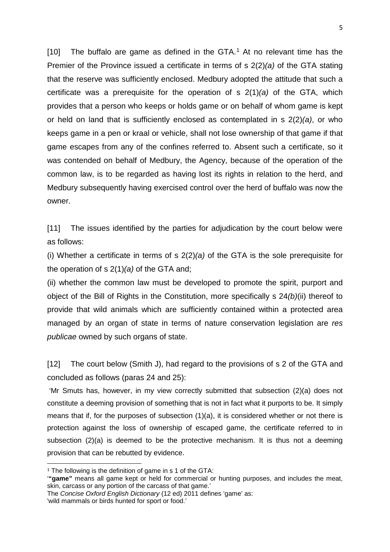[10] The buffalo are game as defined in the GTA. [1](#page-4-0) At no relevant time has the Premier of the Province issued a certificate in terms of s 2(2)*(a)* of the GTA stating that the reserve was sufficiently enclosed. Medbury adopted the attitude that such a certificate was a prerequisite for the operation of s 2(1)*(a)* of the GTA, which provides that a person who keeps or holds game or on behalf of whom game is kept or held on land that is sufficiently enclosed as contemplated in s 2(2)*(a)*, or who keeps game in a pen or kraal or vehicle, shall not lose ownership of that game if that game escapes from any of the confines referred to. Absent such a certificate, so it was contended on behalf of Medbury, the Agency, because of the operation of the common law, is to be regarded as having lost its rights in relation to the herd, and Medbury subsequently having exercised control over the herd of buffalo was now the owner.

[11] The issues identified by the parties for adjudication by the court below were as follows:

(i) Whether a certificate in terms of s 2(2)*(a)* of the GTA is the sole prerequisite for the operation of s 2(1)*(a)* of the GTA and;

(ii) whether the common law must be developed to promote the spirit, purport and object of the Bill of Rights in the Constitution, more specifically s 24*(b)*(ii) thereof to provide that wild animals which are sufficiently contained within a protected area managed by an organ of state in terms of nature conservation legislation are *res publicae* owned by such organs of state.

[12] The court below (Smith J), had regard to the provisions of s 2 of the GTA and concluded as follows (paras 24 and 25):

'Mr Smuts has, however, in my view correctly submitted that subsection (2)(a) does not constitute a deeming provision of something that is not in fact what it purports to be. It simply means that if, for the purposes of subsection (1)(a), it is considered whether or not there is protection against the loss of ownership of escaped game, the certificate referred to in subsection (2)(a) is deemed to be the protective mechanism. It is thus not a deeming provision that can be rebutted by evidence.

<span id="page-4-0"></span><sup>&</sup>lt;sup>1</sup> The following is the definition of game in s 1 of the GTA:

<sup>&#</sup>x27;**"game"** means all game kept or held for commercial or hunting purposes, and includes the meat, skin, carcass or any portion of the carcass of that game.'

The *Concise Oxford English Dictionary* (12 ed) 2011 defines 'game' as:

<sup>&#</sup>x27;wild mammals or birds hunted for sport or food.'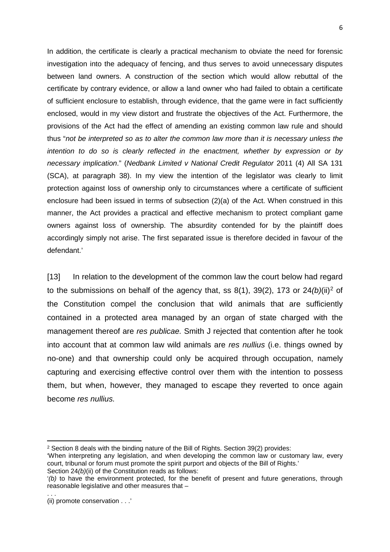In addition, the certificate is clearly a practical mechanism to obviate the need for forensic investigation into the adequacy of fencing, and thus serves to avoid unnecessary disputes between land owners. A construction of the section which would allow rebuttal of the certificate by contrary evidence, or allow a land owner who had failed to obtain a certificate of sufficient enclosure to establish, through evidence, that the game were in fact sufficiently enclosed, would in my view distort and frustrate the objectives of the Act. Furthermore, the provisions of the Act had the effect of amending an existing common law rule and should thus "*not be interpreted so as to alter the common law more than it is necessary unless the*  intention to do so is clearly reflected in the enactment, whether by expression or by *necessary implication*." (*Nedbank Limited v National Credit Regulator* 2011 (4) All SA 131 (SCA), at paragraph 38). In my view the intention of the legislator was clearly to limit protection against loss of ownership only to circumstances where a certificate of sufficient enclosure had been issued in terms of subsection (2)(a) of the Act. When construed in this manner, the Act provides a practical and effective mechanism to protect compliant game owners against loss of ownership. The absurdity contended for by the plaintiff does accordingly simply not arise. The first separated issue is therefore decided in favour of the defendant.'

[13] In relation to the development of the common law the court below had regard to the submissions on behalf of the agency that, ss 8(1), 39(2), 173 or 24*(b)*(ii)[2](#page-5-0) of the Constitution compel the conclusion that wild animals that are sufficiently contained in a protected area managed by an organ of state charged with the management thereof are *res publicae.* Smith J rejected that contention after he took into account that at common law wild animals are *res nullius* (i.e. things owned by no-one) and that ownership could only be acquired through occupation, namely capturing and exercising effective control over them with the intention to possess them, but when, however, they managed to escape they reverted to once again become *res nullius.* 

Section 24*(b)*(ii) of the Constitution reads as follows:

 $\overline{a}$ 

<span id="page-5-0"></span><sup>2</sup> Section 8 deals with the binding nature of the Bill of Rights. Section 39(2) provides:

<sup>&#</sup>x27;When interpreting any legislation, and when developing the common law or customary law, every court, tribunal or forum must promote the spirit purport and objects of the Bill of Rights.'

<sup>&#</sup>x27;*(b)* to have the environment protected, for the benefit of present and future generations, through reasonable legislative and other measures that –

<sup>. . .</sup>  (ii) promote conservation . . .'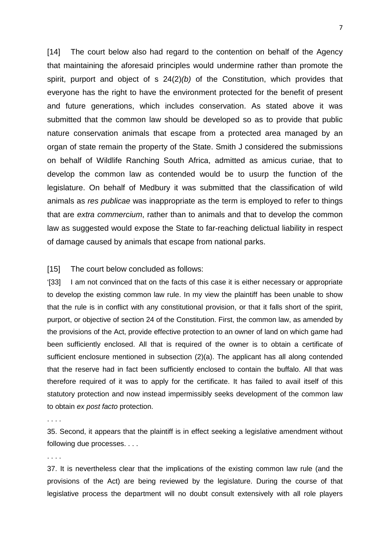[14] The court below also had regard to the contention on behalf of the Agency that maintaining the aforesaid principles would undermine rather than promote the spirit, purport and object of s 24(2)*(b)* of the Constitution, which provides that everyone has the right to have the environment protected for the benefit of present and future generations, which includes conservation. As stated above it was submitted that the common law should be developed so as to provide that public nature conservation animals that escape from a protected area managed by an organ of state remain the property of the State. Smith J considered the submissions on behalf of Wildlife Ranching South Africa, admitted as amicus curiae, that to develop the common law as contended would be to usurp the function of the legislature. On behalf of Medbury it was submitted that the classification of wild animals as *res publicae* was inappropriate as the term is employed to refer to things that are *extra commercium*, rather than to animals and that to develop the common law as suggested would expose the State to far-reaching delictual liability in respect of damage caused by animals that escape from national parks.

#### [15] The court below concluded as follows:

'[33] I am not convinced that on the facts of this case it is either necessary or appropriate to develop the existing common law rule. In my view the plaintiff has been unable to show that the rule is in conflict with any constitutional provision, or that it falls short of the spirit, purport, or objective of section 24 of the Constitution. First, the common law, as amended by the provisions of the Act, provide effective protection to an owner of land on which game had been sufficiently enclosed. All that is required of the owner is to obtain a certificate of sufficient enclosure mentioned in subsection (2)(a). The applicant has all along contended that the reserve had in fact been sufficiently enclosed to contain the buffalo. All that was therefore required of it was to apply for the certificate. It has failed to avail itself of this statutory protection and now instead impermissibly seeks development of the common law to obtain *ex post facto* protection.

. . . .

35. Second, it appears that the plaintiff is in effect seeking a legislative amendment without following due processes. . . .

. . . .

37. It is nevertheless clear that the implications of the existing common law rule (and the provisions of the Act) are being reviewed by the legislature. During the course of that legislative process the department will no doubt consult extensively with all role players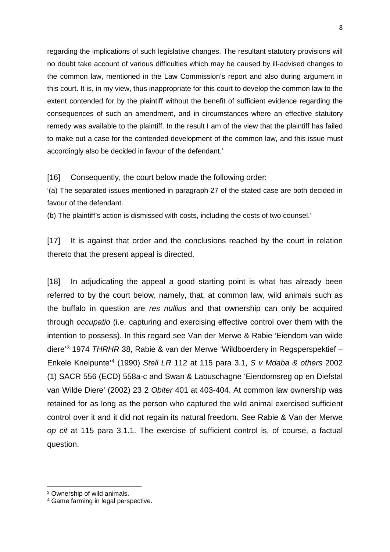regarding the implications of such legislative changes. The resultant statutory provisions will no doubt take account of various difficulties which may be caused by ill-advised changes to the common law, mentioned in the Law Commission's report and also during argument in this court. It is, in my view, thus inappropriate for this court to develop the common law to the extent contended for by the plaintiff without the benefit of sufficient evidence regarding the consequences of such an amendment, and in circumstances where an effective statutory remedy was available to the plaintiff. In the result I am of the view that the plaintiff has failed to make out a case for the contended development of the common law, and this issue must accordingly also be decided in favour of the defendant.'

[16] Consequently, the court below made the following order:

'(a) The separated issues mentioned in paragraph 27 of the stated case are both decided in favour of the defendant.

(b) The plaintiff's action is dismissed with costs, including the costs of two counsel.'

[17] It is against that order and the conclusions reached by the court in relation thereto that the present appeal is directed.

[18] In adjudicating the appeal a good starting point is what has already been referred to by the court below, namely, that, at common law, wild animals such as the buffalo in question are *res nullius* and that ownership can only be acquired through *occupatio* (i.e. capturing and exercising effective control over them with the intention to possess). In this regard see Van der Merwe & Rabie 'Eiendom van wilde diere'[3](#page-7-0) 1974 *THRHR* 38, Rabie & van der Merwe 'Wildboerdery in Regsperspektief – Enkele Knelpunte'[4](#page-7-1) (1990) *Stell LR* 112 at 115 para 3.1, *S v Mdaba & others* 2002 (1) SACR 556 (ECD) 558a-c and Swan & Labuschagne 'Eiendomsreg op en Diefstal van Wilde Diere' (2002) 23 2 *Obiter* 401 at 403-404. At common law ownership was retained for as long as the person who captured the wild animal exercised sufficient control over it and it did not regain its natural freedom. See Rabie & Van der Merwe *op cit* at 115 para 3.1.1. The exercise of sufficient control is, of course, a factual question.

 $\overline{a}$ 

<span id="page-7-0"></span><sup>3</sup> Ownership of wild animals.

<span id="page-7-1"></span><sup>4</sup> Game farming in legal perspective.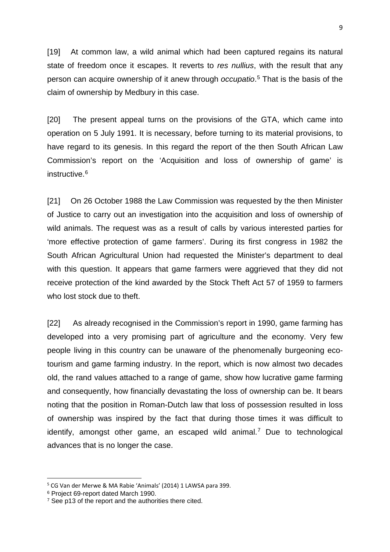[19] At common law, a wild animal which had been captured regains its natural state of freedom once it escapes. It reverts to *res nullius*, with the result that any person can acquire ownership of it anew through *occupatio*. [5](#page-8-0) That is the basis of the claim of ownership by Medbury in this case.

[20] The present appeal turns on the provisions of the GTA, which came into operation on 5 July 1991. It is necessary, before turning to its material provisions, to have regard to its genesis. In this regard the report of the then South African Law Commission's report on the 'Acquisition and loss of ownership of game' is instructive.<sup>[6](#page-8-1)</sup>

[21] On 26 October 1988 the Law Commission was requested by the then Minister of Justice to carry out an investigation into the acquisition and loss of ownership of wild animals. The request was as a result of calls by various interested parties for 'more effective protection of game farmers'. During its first congress in 1982 the South African Agricultural Union had requested the Minister's department to deal with this question. It appears that game farmers were aggrieved that they did not receive protection of the kind awarded by the Stock Theft Act 57 of 1959 to farmers who lost stock due to theft.

[22] As already recognised in the Commission's report in 1990, game farming has developed into a very promising part of agriculture and the economy. Very few people living in this country can be unaware of the phenomenally burgeoning ecotourism and game farming industry. In the report, which is now almost two decades old, the rand values attached to a range of game, show how lucrative game farming and consequently, how financially devastating the loss of ownership can be. It bears noting that the position in Roman-Dutch law that loss of possession resulted in loss of ownership was inspired by the fact that during those times it was difficult to identify, amongst other game, an escaped wild animal.<sup>[7](#page-8-2)</sup> Due to technological advances that is no longer the case.

<span id="page-8-0"></span> <sup>5</sup> CG Van der Merwe & MA Rabie 'Animals' (2014) 1 LAWSA para 399.

<span id="page-8-1"></span><sup>6</sup> Project 69-report dated March 1990.

<span id="page-8-2"></span> $7$  See p13 of the report and the authorities there cited.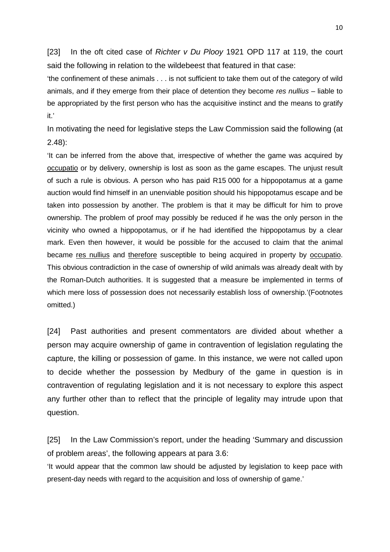[23] In the oft cited case of *Richter v Du Plooy* 1921 OPD 117 at 119, the court said the following in relation to the wildebeest that featured in that case:

'the confinement of these animals . . . is not sufficient to take them out of the category of wild animals, and if they emerge from their place of detention they become *res nullius* – liable to be appropriated by the first person who has the acquisitive instinct and the means to gratify it.'

In motivating the need for legislative steps the Law Commission said the following (at 2.48):

'It can be inferred from the above that, irrespective of whether the game was acquired by occupatio or by delivery, ownership is lost as soon as the game escapes. The unjust result of such a rule is obvious. A person who has paid R15 000 for a hippopotamus at a game auction would find himself in an unenviable position should his hippopotamus escape and be taken into possession by another. The problem is that it may be difficult for him to prove ownership. The problem of proof may possibly be reduced if he was the only person in the vicinity who owned a hippopotamus, or if he had identified the hippopotamus by a clear mark. Even then however, it would be possible for the accused to claim that the animal became res nullius and therefore susceptible to being acquired in property by occupatio. This obvious contradiction in the case of ownership of wild animals was already dealt with by the Roman-Dutch authorities. It is suggested that a measure be implemented in terms of which mere loss of possession does not necessarily establish loss of ownership.'(Footnotes omitted.)

[24] Past authorities and present commentators are divided about whether a person may acquire ownership of game in contravention of legislation regulating the capture, the killing or possession of game. In this instance, we were not called upon to decide whether the possession by Medbury of the game in question is in contravention of regulating legislation and it is not necessary to explore this aspect any further other than to reflect that the principle of legality may intrude upon that question.

[25] In the Law Commission's report, under the heading 'Summary and discussion of problem areas', the following appears at para 3.6:

'It would appear that the common law should be adjusted by legislation to keep pace with present-day needs with regard to the acquisition and loss of ownership of game.'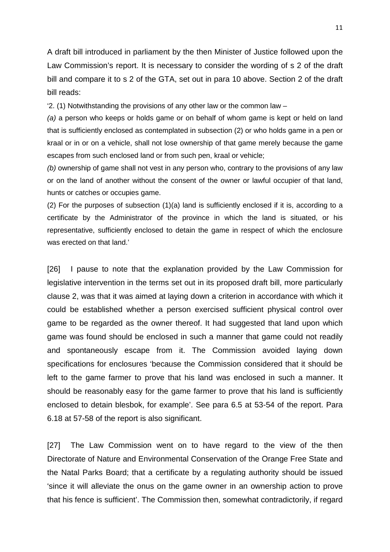A draft bill introduced in parliament by the then Minister of Justice followed upon the Law Commission's report. It is necessary to consider the wording of s 2 of the draft bill and compare it to s 2 of the GTA, set out in para 10 above. Section 2 of the draft bill reads:

'2. (1) Notwithstanding the provisions of any other law or the common law  $-$ 

*(a)* a person who keeps or holds game or on behalf of whom game is kept or held on land that is sufficiently enclosed as contemplated in subsection (2) or who holds game in a pen or kraal or in or on a vehicle, shall not lose ownership of that game merely because the game escapes from such enclosed land or from such pen, kraal or vehicle;

*(b)* ownership of game shall not vest in any person who, contrary to the provisions of any law or on the land of another without the consent of the owner or lawful occupier of that land, hunts or catches or occupies game.

(2) For the purposes of subsection (1)(a) land is sufficiently enclosed if it is, according to a certificate by the Administrator of the province in which the land is situated, or his representative, sufficiently enclosed to detain the game in respect of which the enclosure was erected on that land.'

[26] I pause to note that the explanation provided by the Law Commission for legislative intervention in the terms set out in its proposed draft bill, more particularly clause 2, was that it was aimed at laying down a criterion in accordance with which it could be established whether a person exercised sufficient physical control over game to be regarded as the owner thereof. It had suggested that land upon which game was found should be enclosed in such a manner that game could not readily and spontaneously escape from it. The Commission avoided laying down specifications for enclosures 'because the Commission considered that it should be left to the game farmer to prove that his land was enclosed in such a manner. It should be reasonably easy for the game farmer to prove that his land is sufficiently enclosed to detain blesbok, for example'. See para 6.5 at 53-54 of the report. Para 6.18 at 57-58 of the report is also significant.

[27] The Law Commission went on to have regard to the view of the then Directorate of Nature and Environmental Conservation of the Orange Free State and the Natal Parks Board; that a certificate by a regulating authority should be issued 'since it will alleviate the onus on the game owner in an ownership action to prove that his fence is sufficient'. The Commission then, somewhat contradictorily, if regard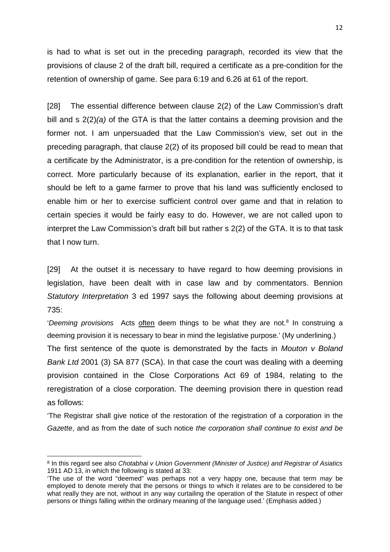is had to what is set out in the preceding paragraph, recorded its view that the provisions of clause 2 of the draft bill, required a certificate as a pre-condition for the retention of ownership of game. See para 6:19 and 6.26 at 61 of the report.

[28] The essential difference between clause 2(2) of the Law Commission's draft bill and s 2(2)*(a)* of the GTA is that the latter contains a deeming provision and the former not. I am unpersuaded that the Law Commission's view, set out in the preceding paragraph, that clause 2(2) of its proposed bill could be read to mean that a certificate by the Administrator, is a pre-condition for the retention of ownership, is correct. More particularly because of its explanation, earlier in the report, that it should be left to a game farmer to prove that his land was sufficiently enclosed to enable him or her to exercise sufficient control over game and that in relation to certain species it would be fairly easy to do. However, we are not called upon to interpret the Law Commission's draft bill but rather s 2(2) of the GTA. It is to that task that I now turn.

[29] At the outset it is necessary to have regard to how deeming provisions in legislation, have been dealt with in case law and by commentators. Bennion *Statutory Interpretation* 3 ed 1997 says the following about deeming provisions at 735:

'*Deeming provisions* Acts often deem things to be what they are not.<sup>[8](#page-11-0)</sup> In construing a deeming provision it is necessary to bear in mind the legislative purpose.' (My underlining.) The first sentence of the quote is demonstrated by the facts in *Mouton v Boland Bank Ltd* 2001 (3) SA 877 (SCA). In that case the court was dealing with a deeming provision contained in the Close Corporations Act 69 of 1984, relating to the reregistration of a close corporation. The deeming provision there in question read as follows:

'The Registrar shall give notice of the restoration of the registration of a corporation in the *Gazette*, and as from the date of such notice *the corporation shall continue to exist and be* 

<span id="page-11-0"></span><sup>8</sup> In this regard see also *Chotabhai v Union Government (Minister of Justice) and Registrar of Asiatics* 1911 AD 13, in which the following is stated at 33:

<sup>&#</sup>x27;The use of the word "deemed" was perhaps not a very happy one, because that term *may* be employed to denote merely that the persons or things to which it relates are to be considered to be what really they are not, without in any way curtailing the operation of the Statute in respect of other persons or things falling within the ordinary meaning of the language used.' (Emphasis added.)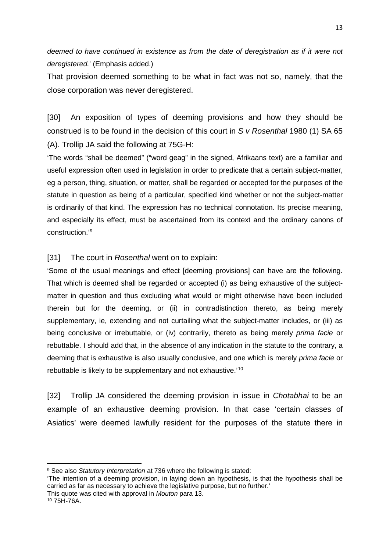*deemed to have continued in existence as from the date of deregistration as if it were not deregistered.*' (Emphasis added.)

That provision deemed something to be what in fact was not so, namely, that the close corporation was never deregistered.

[30] An exposition of types of deeming provisions and how they should be construed is to be found in the decision of this court in *S v Rosenthal* 1980 (1) SA 65 (A). Trollip JA said the following at 75G-H:

'The words "shall be deemed" ("word geag" in the signed, Afrikaans text) are a familiar and useful expression often used in legislation in order to predicate that a certain subject-matter, eg a person, thing, situation, or matter, shall be regarded or accepted for the purposes of the statute in question as being of a particular, specified kind whether or not the subject-matter is ordinarily of that kind. The expression has no technical connotation. Its precise meaning, and especially its effect, must be ascertained from its context and the ordinary canons of construction.'[9](#page-12-0)

[31] The court in *Rosenthal* went on to explain:

'Some of the usual meanings and effect [deeming provisions] can have are the following. That which is deemed shall be regarded or accepted (i) as being exhaustive of the subjectmatter in question and thus excluding what would or might otherwise have been included therein but for the deeming, or (ii) in contradistinction thereto, as being merely supplementary, ie, extending and not curtailing what the subject-matter includes, or (iii) as being conclusive or irrebuttable, or (iv) contrarily, thereto as being merely *prima facie* or rebuttable. I should add that, in the absence of any indication in the statute to the contrary, a deeming that is exhaustive is also usually conclusive, and one which is merely *prima facie* or rebuttable is likely to be supplementary and not exhaustive.'[10](#page-12-1)

[32] Trollip JA considered the deeming provision in issue in *Chotabhai* to be an example of an exhaustive deeming provision. In that case 'certain classes of Asiatics' were deemed lawfully resident for the purposes of the statute there in

<span id="page-12-0"></span><sup>9</sup> See also *Statutory Interpretation* at 736 where the following is stated:

<sup>&#</sup>x27;The intention of a deeming provision, in laying down an hypothesis, is that the hypothesis shall be carried as far as necessary to achieve the legislative purpose, but no further.'

This quote was cited with approval in *Mouton* para 13.

<span id="page-12-1"></span><sup>10</sup> 75H-76A.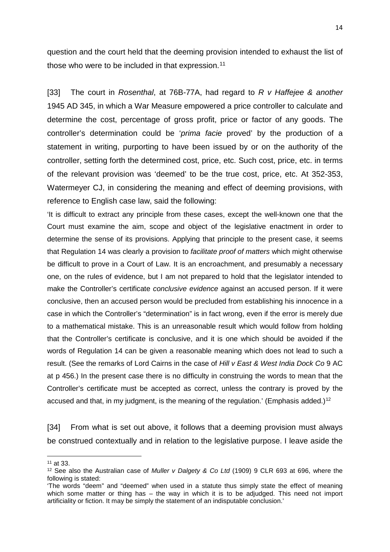question and the court held that the deeming provision intended to exhaust the list of those who were to be included in that expression.<sup>[11](#page-13-0)</sup>

[33] The court in *Rosenthal*, at 76B-77A, had regard to *R v Haffejee & another* 1945 AD 345, in which a War Measure empowered a price controller to calculate and determine the cost, percentage of gross profit, price or factor of any goods. The controller's determination could be '*prima facie* proved' by the production of a statement in writing, purporting to have been issued by or on the authority of the controller, setting forth the determined cost, price, etc. Such cost, price, etc. in terms of the relevant provision was 'deemed' to be the true cost, price, etc. At 352-353, Watermeyer CJ, in considering the meaning and effect of deeming provisions, with reference to English case law, said the following:

'It is difficult to extract any principle from these cases, except the well-known one that the Court must examine the aim, scope and object of the legislative enactment in order to determine the sense of its provisions. Applying that principle to the present case, it seems that Regulation 14 was clearly a provision to *facilitate proof of matters* which might otherwise be difficult to prove in a Court of Law. It is an encroachment, and presumably a necessary one, on the rules of evidence, but I am not prepared to hold that the legislator intended to make the Controller's certificate *conclusive evidence* against an accused person. If it were conclusive, then an accused person would be precluded from establishing his innocence in a case in which the Controller's "determination" is in fact wrong, even if the error is merely due to a mathematical mistake. This is an unreasonable result which would follow from holding that the Controller's certificate is conclusive, and it is one which should be avoided if the words of Regulation 14 can be given a reasonable meaning which does not lead to such a result. (See the remarks of Lord Cairns in the case of *Hill v East & West India Dock Co* 9 AC at p 456.) In the present case there is no difficulty in construing the words to mean that the Controller's certificate must be accepted as correct, unless the contrary is proved by the accused and that, in my judgment, is the meaning of the regulation.' (Emphasis added.)<sup>[12](#page-13-1)</sup>

[34] From what is set out above, it follows that a deeming provision must always be construed contextually and in relation to the legislative purpose. I leave aside the

<span id="page-13-0"></span><sup>11</sup> at 33.

<span id="page-13-1"></span><sup>12</sup> See also the Australian case of *Muller v Dalgety & Co Ltd* (1909) 9 CLR 693 at 696, where the following is stated:

<sup>&#</sup>x27;The words "deem" and "deemed" when used in a statute thus simply state the effect of meaning which some matter or thing has – the way in which it is to be adjudged. This need not import artificiality or fiction. It may be simply the statement of an indisputable conclusion.'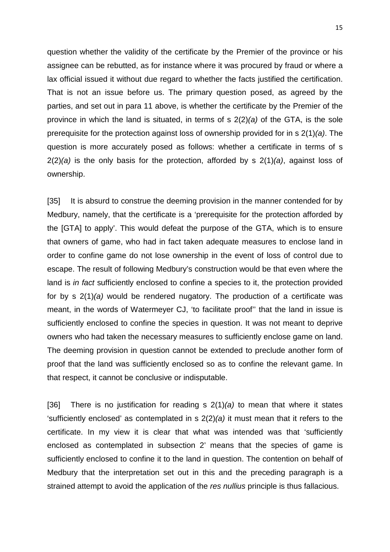question whether the validity of the certificate by the Premier of the province or his assignee can be rebutted, as for instance where it was procured by fraud or where a lax official issued it without due regard to whether the facts justified the certification. That is not an issue before us. The primary question posed, as agreed by the parties, and set out in para 11 above, is whether the certificate by the Premier of the province in which the land is situated, in terms of s 2(2)*(a)* of the GTA, is the sole prerequisite for the protection against loss of ownership provided for in s 2(1)*(a)*. The question is more accurately posed as follows: whether a certificate in terms of s 2(2)*(a)* is the only basis for the protection, afforded by s 2(1)*(a)*, against loss of ownership.

[35] It is absurd to construe the deeming provision in the manner contended for by Medbury, namely, that the certificate is a 'prerequisite for the protection afforded by the [GTA] to apply'. This would defeat the purpose of the GTA, which is to ensure that owners of game, who had in fact taken adequate measures to enclose land in order to confine game do not lose ownership in the event of loss of control due to escape. The result of following Medbury's construction would be that even where the land is *in fact* sufficiently enclosed to confine a species to it, the protection provided for by s 2(1)*(a)* would be rendered nugatory. The production of a certificate was meant, in the words of Watermeyer CJ, 'to facilitate proof'' that the land in issue is sufficiently enclosed to confine the species in question. It was not meant to deprive owners who had taken the necessary measures to sufficiently enclose game on land. The deeming provision in question cannot be extended to preclude another form of proof that the land was sufficiently enclosed so as to confine the relevant game. In that respect, it cannot be conclusive or indisputable.

[36] There is no justification for reading s 2(1)*(a)* to mean that where it states 'sufficiently enclosed' as contemplated in s 2(2)*(a)* it must mean that it refers to the certificate. In my view it is clear that what was intended was that 'sufficiently enclosed as contemplated in subsection 2' means that the species of game is sufficiently enclosed to confine it to the land in question. The contention on behalf of Medbury that the interpretation set out in this and the preceding paragraph is a strained attempt to avoid the application of the *res nullius* principle is thus fallacious.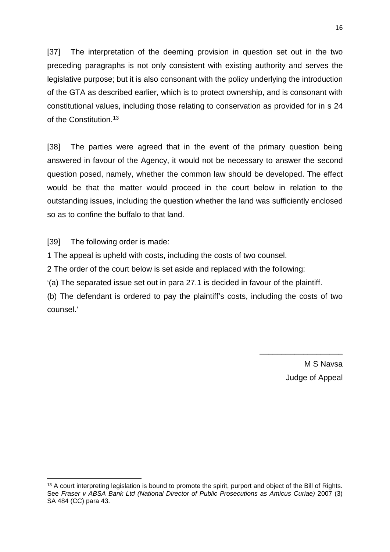[37] The interpretation of the deeming provision in question set out in the two preceding paragraphs is not only consistent with existing authority and serves the legislative purpose; but it is also consonant with the policy underlying the introduction of the GTA as described earlier, which is to protect ownership, and is consonant with constitutional values, including those relating to conservation as provided for in s 24 of the Constitution.<sup>[13](#page-15-0)</sup>

[38] The parties were agreed that in the event of the primary question being answered in favour of the Agency, it would not be necessary to answer the second question posed, namely, whether the common law should be developed. The effect would be that the matter would proceed in the court below in relation to the outstanding issues, including the question whether the land was sufficiently enclosed so as to confine the buffalo to that land.

[39] The following order is made:

**.** 

1 The appeal is upheld with costs, including the costs of two counsel.

2 The order of the court below is set aside and replaced with the following:

'(a) The separated issue set out in para 27.1 is decided in favour of the plaintiff.

(b) The defendant is ordered to pay the plaintiff's costs, including the costs of two counsel.'

> M S Navsa Judge of Appeal

\_\_\_\_\_\_\_\_\_\_\_\_\_\_\_\_\_\_\_

<span id="page-15-0"></span><sup>&</sup>lt;sup>13</sup> A court interpreting legislation is bound to promote the spirit, purport and object of the Bill of Rights. See *Fraser v ABSA Bank Ltd (National Director of Public Prosecutions as Amicus Curiae)* 2007 (3) SA 484 (CC) para 43.